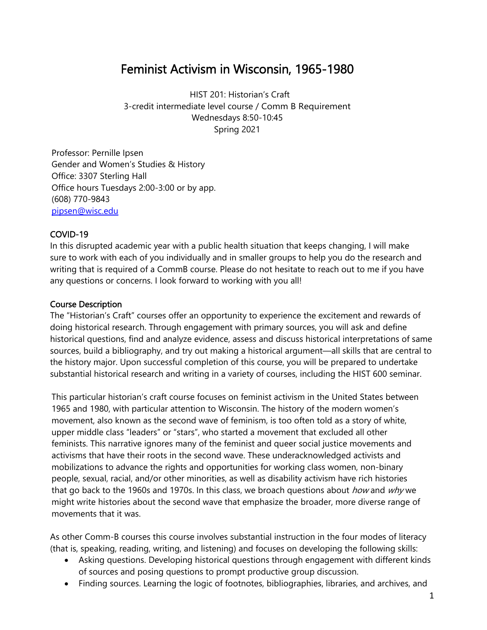## Feminist Activism in Wisconsin, 1965-1980

HIST 201: Historian's Craft 3-credit intermediate level course / Comm B Requirement Wednesdays 8:50-10:45 Spring 2021

Professor: Pernille Ipsen Gender and Women's Studies & History Office: 3307 Sterling Hall Office hours Tuesdays 2:00-3:00 or by app. (608) 770-9843 pipsen@wisc.edu

## COVID-19

In this disrupted academic year with a public health situation that keeps changing, I will make sure to work with each of you individually and in smaller groups to help you do the research and writing that is required of a CommB course. Please do not hesitate to reach out to me if you have any questions or concerns. I look forward to working with you all!

## Course Description

The "Historian's Craft" courses offer an opportunity to experience the excitement and rewards of doing historical research. Through engagement with primary sources, you will ask and define historical questions, find and analyze evidence, assess and discuss historical interpretations of same sources, build a bibliography, and try out making a historical argument—all skills that are central to the history major. Upon successful completion of this course, you will be prepared to undertake substantial historical research and writing in a variety of courses, including the HIST 600 seminar.

This particular historian's craft course focuses on feminist activism in the United States between 1965 and 1980, with particular attention to Wisconsin. The history of the modern women's movement, also known as the second wave of feminism, is too often told as a story of white, upper middle class "leaders" or "stars", who started a movement that excluded all other feminists. This narrative ignores many of the feminist and queer social justice movements and activisms that have their roots in the second wave. These underacknowledged activists and mobilizations to advance the rights and opportunities for working class women, non-binary people, sexual, racial, and/or other minorities, as well as disability activism have rich histories that go back to the 1960s and 1970s. In this class, we broach questions about *how* and  $why$  we might write histories about the second wave that emphasize the broader, more diverse range of movements that it was.

As other Comm-B courses this course involves substantial instruction in the four modes of literacy (that is, speaking, reading, writing, and listening) and focuses on developing the following skills:

- Asking questions. Developing historical questions through engagement with different kinds of sources and posing questions to prompt productive group discussion.
- Finding sources. Learning the logic of footnotes, bibliographies, libraries, and archives, and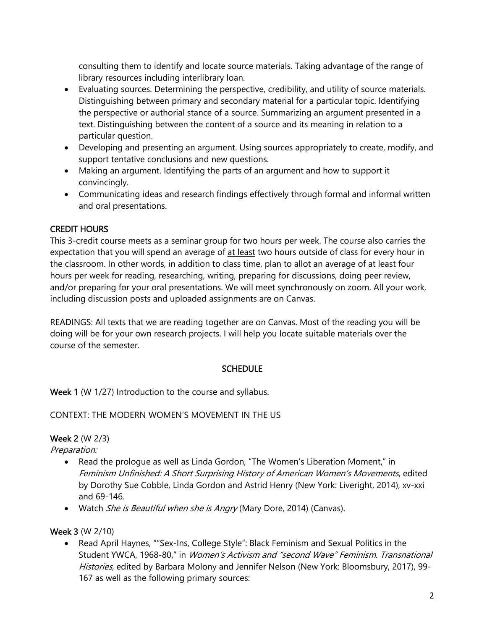consulting them to identify and locate source materials. Taking advantage of the range of library resources including interlibrary loan.

- Evaluating sources. Determining the perspective, credibility, and utility of source materials. Distinguishing between primary and secondary material for a particular topic. Identifying the perspective or authorial stance of a source. Summarizing an argument presented in a text. Distinguishing between the content of a source and its meaning in relation to a particular question.
- Developing and presenting an argument. Using sources appropriately to create, modify, and support tentative conclusions and new questions.
- Making an argument. Identifying the parts of an argument and how to support it convincingly.
- Communicating ideas and research findings effectively through formal and informal written and oral presentations.

## CREDIT HOURS

This 3-credit course meets as a seminar group for two hours per week. The course also carries the expectation that you will spend an average of at least two hours outside of class for every hour in the classroom. In other words, in addition to class time, plan to allot an average of at least four hours per week for reading, researching, writing, preparing for discussions, doing peer review, and/or preparing for your oral presentations. We will meet synchronously on zoom. All your work, including discussion posts and uploaded assignments are on Canvas.

READINGS: All texts that we are reading together are on Canvas. Most of the reading you will be doing will be for your own research projects. I will help you locate suitable materials over the course of the semester.

## **SCHEDULE**

Week 1 (W 1/27) Introduction to the course and syllabus.

## CONTEXT: THE MODERN WOMEN'S MOVEMENT IN THE US

## Week 2 (W 2/3)

Preparation:

- Read the prologue as well as Linda Gordon, "The Women's Liberation Moment," in Feminism Unfinished: A Short Surprising History of American Women's Movements, edited by Dorothy Sue Cobble, Linda Gordon and Astrid Henry (New York: Liveright, 2014), xv-xxi and 69-146.
- Watch She is Beautiful when she is Angry (Mary Dore, 2014) (Canvas).

## Week 3 (W 2/10)

 Read April Haynes, ""Sex-Ins, College Style": Black Feminism and Sexual Politics in the Student YWCA, 1968-80," in Women's Activism and "second Wave" Feminism. Transnational Histories, edited by Barbara Molony and Jennifer Nelson (New York: Bloomsbury, 2017), 99-167 as well as the following primary sources: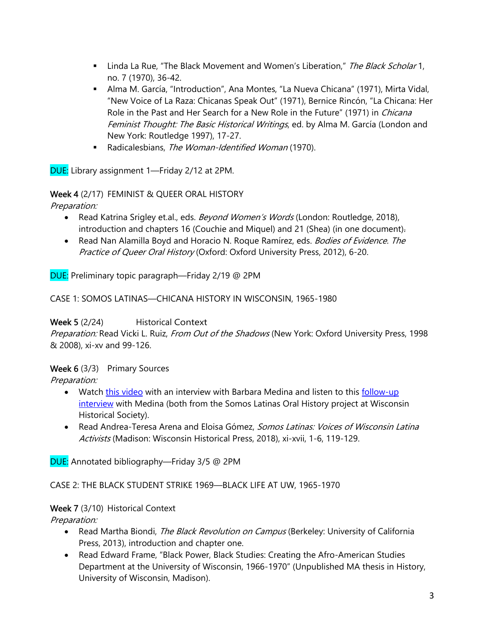- I Linda La Rue, "The Black Movement and Women's Liberation," The Black Scholar 1, no. 7 (1970), 36-42.
- Alma M. García, "Introduction", Ana Montes, "La Nueva Chicana" (1971), Mirta Vidal, "New Voice of La Raza: Chicanas Speak Out" (1971), Bernice Rincón, "La Chicana: Her Role in the Past and Her Search for a New Role in the Future" (1971) in *Chicana* Feminist Thought: The Basic Historical Writings, ed. by Alma M. García (London and New York: Routledge 1997), 17-27.
- Radicalesbians, The Woman-Identified Woman (1970).

DUE: Library assignment 1—Friday 2/12 at 2PM.

#### Week 4 (2/17) FEMINIST & QUEER ORAL HISTORY

Preparation:

- Read Katrina Srigley et.al., eds. *Beyond Women's Words* (London: Routledge, 2018), introduction and chapters 16 (Couchie and Miquel) and 21 (Shea) (in one document).
- Read Nan Alamilla Boyd and Horacio N. Roque Ramírez, eds. Bodies of Evidence. The Practice of Queer Oral History (Oxford: Oxford University Press, 2012), 6-20.

DUE: Preliminary topic paragraph—Friday 2/19 @ 2PM

CASE 1: SOMOS LATINAS—CHICANA HISTORY IN WISCONSIN, 1965-1980

#### Week 5 (2/24) Historical Context

Preparation: Read Vicki L. Ruiz, From Out of the Shadows (New York: Oxford University Press, 1998 & 2008), xi-xv and 99-126.

#### Week 6 (3/3) Primary Sources

Preparation:

- Watch this video with an interview with Barbara Medina and listen to this follow-up interview with Medina (both from the Somos Latinas Oral History project at Wisconsin Historical Society).
- Read Andrea-Teresa Arena and Eloisa Gómez, Somos Latinas: Voices of Wisconsin Latina Activists (Madison: Wisconsin Historical Press, 2018), xi-xvii, 1-6, 119-129.

DUE: Annotated bibliography—Friday 3/5 @ 2PM

#### CASE 2: THE BLACK STUDENT STRIKE 1969—BLACK LIFE AT UW, 1965-1970

#### Week 7 (3/10) Historical Context

Preparation:

- Read Martha Biondi, The Black Revolution on Campus (Berkeley: University of California Press, 2013), introduction and chapter one.
- Read Edward Frame, "Black Power, Black Studies: Creating the Afro-American Studies Department at the University of Wisconsin, 1966-1970" (Unpublished MA thesis in History, University of Wisconsin, Madison).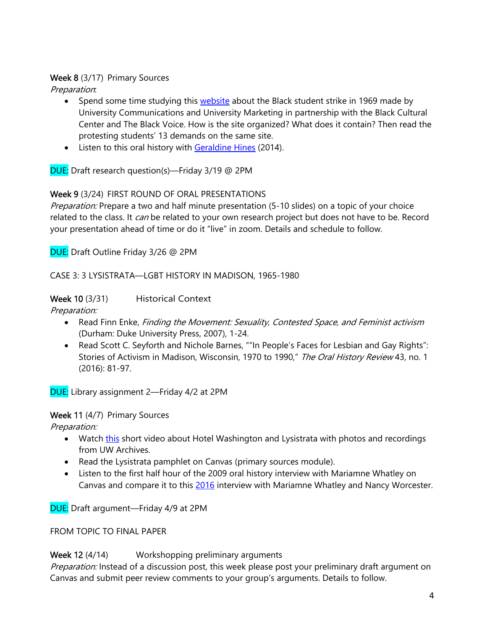#### Week 8 (3/17) Primary Sources

Preparation:

- Spend some time studying this website about the Black student strike in 1969 made by University Communications and University Marketing in partnership with the Black Cultural Center and The Black Voice. How is the site organized? What does it contain? Then read the protesting students' 13 demands on the same site.
- Listen to this oral history with Geraldine Hines (2014).

DUE: Draft research question(s)—Friday 3/19 @ 2PM

## Week 9 (3/24) FIRST ROUND OF ORAL PRESENTATIONS

Preparation: Prepare a two and half minute presentation (5-10 slides) on a topic of your choice related to the class. It *can* be related to your own research project but does not have to be. Record your presentation ahead of time or do it "live" in zoom. Details and schedule to follow.

DUE: Draft Outline Friday 3/26 @ 2PM

CASE 3: 3 LYSISTRATA—LGBT HISTORY IN MADISON, 1965-1980

### Week 10 (3/31) Historical Context

Preparation:

- Read Finn Enke, Finding the Movement: Sexuality, Contested Space, and Feminist activism (Durham: Duke University Press, 2007), 1-24.
- Read Scott C. Seyforth and Nichole Barnes, ""In People's Faces for Lesbian and Gay Rights": Stories of Activism in Madison, Wisconsin, 1970 to 1990," The Oral History Review 43, no. 1 (2016): 81-97.

DUE: Library assignment 2—Friday 4/2 at 2PM

Week 11 (4/7) Primary Sources

Preparation:

- Watch this short video about Hotel Washington and Lysistrata with photos and recordings from UW Archives.
- Read the Lysistrata pamphlet on Canvas (primary sources module).
- Listen to the first half hour of the 2009 oral history interview with Mariamne Whatley on Canvas and compare it to this 2016 interview with Mariamne Whatley and Nancy Worcester.

DUE: Draft argument—Friday 4/9 at 2PM

FROM TOPIC TO FINAL PAPER

## Week 12 (4/14) Workshopping preliminary arguments

Preparation: Instead of a discussion post, this week please post your preliminary draft argument on Canvas and submit peer review comments to your group's arguments. Details to follow.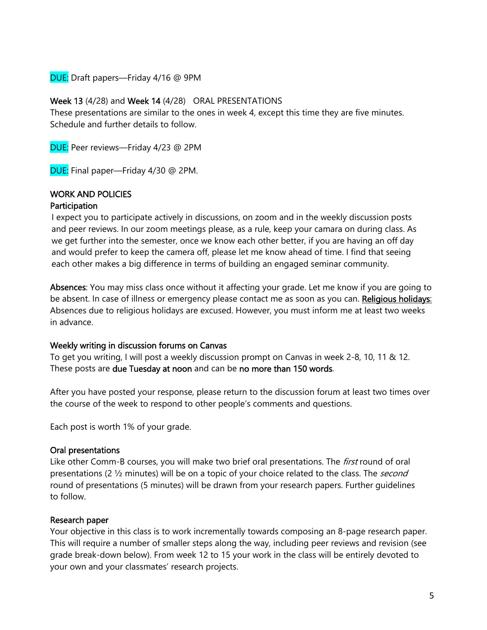DUE: Draft papers—Friday 4/16 @ 9PM

Week 13 (4/28) and Week 14 (4/28) ORAL PRESENTATIONS

These presentations are similar to the ones in week 4, except this time they are five minutes. Schedule and further details to follow.

DUE: Peer reviews—Friday 4/23 @ 2PM

DUE: Final paper—Friday 4/30 @ 2PM.

# WORK AND POLICIES

### **Participation**

I expect you to participate actively in discussions, on zoom and in the weekly discussion posts and peer reviews. In our zoom meetings please, as a rule, keep your camara on during class. As we get further into the semester, once we know each other better, if you are having an off day and would prefer to keep the camera off, please let me know ahead of time. I find that seeing each other makes a big difference in terms of building an engaged seminar community.

Absences: You may miss class once without it affecting your grade. Let me know if you are going to be absent. In case of illness or emergency please contact me as soon as you can. Religious holidays: Absences due to religious holidays are excused. However, you must inform me at least two weeks in advance.

#### Weekly writing in discussion forums on Canvas

To get you writing, I will post a weekly discussion prompt on Canvas in week 2-8, 10, 11 & 12. These posts are due Tuesday at noon and can be no more than 150 words.

After you have posted your response, please return to the discussion forum at least two times over the course of the week to respond to other people's comments and questions.

Each post is worth 1% of your grade.

#### Oral presentations

Like other Comm-B courses, you will make two brief oral presentations. The *first* round of oral presentations (2  $\frac{1}{2}$  minutes) will be on a topic of your choice related to the class. The *second* round of presentations (5 minutes) will be drawn from your research papers. Further guidelines to follow.

#### Research paper

Your objective in this class is to work incrementally towards composing an 8-page research paper. This will require a number of smaller steps along the way, including peer reviews and revision (see grade break-down below). From week 12 to 15 your work in the class will be entirely devoted to your own and your classmates' research projects.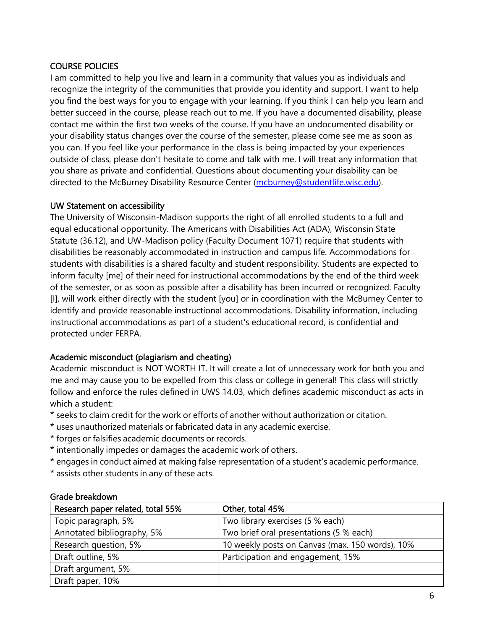### COURSE POLICIES

I am committed to help you live and learn in a community that values you as individuals and recognize the integrity of the communities that provide you identity and support. I want to help you find the best ways for you to engage with your learning. If you think I can help you learn and better succeed in the course, please reach out to me. If you have a documented disability, please contact me within the first two weeks of the course. If you have an undocumented disability or your disability status changes over the course of the semester, please come see me as soon as you can. If you feel like your performance in the class is being impacted by your experiences outside of class, please don't hesitate to come and talk with me. I will treat any information that you share as private and confidential. Questions about documenting your disability can be directed to the McBurney Disability Resource Center (mcburney@studentlife.wisc.edu).

#### UW Statement on accessibility

The University of Wisconsin-Madison supports the right of all enrolled students to a full and equal educational opportunity. The Americans with Disabilities Act (ADA), Wisconsin State Statute (36.12), and UW-Madison policy (Faculty Document 1071) require that students with disabilities be reasonably accommodated in instruction and campus life. Accommodations for students with disabilities is a shared faculty and student responsibility. Students are expected to inform faculty [me] of their need for instructional accommodations by the end of the third week of the semester, or as soon as possible after a disability has been incurred or recognized. Faculty [I], will work either directly with the student [you] or in coordination with the McBurney Center to identify and provide reasonable instructional accommodations. Disability information, including instructional accommodations as part of a student's educational record, is confidential and protected under FERPA.

#### Academic misconduct (plagiarism and cheating)

Academic misconduct is NOT WORTH IT. It will create a lot of unnecessary work for both you and me and may cause you to be expelled from this class or college in general! This class will strictly follow and enforce the rules defined in UWS 14.03, which defines academic misconduct as acts in which a student:

- \* seeks to claim credit for the work or efforts of another without authorization or citation.
- \* uses unauthorized materials or fabricated data in any academic exercise.
- \* forges or falsifies academic documents or records.
- \* intentionally impedes or damages the academic work of others.
- \* engages in conduct aimed at making false representation of a student's academic performance.
- \* assists other students in any of these acts.

| 9.995 DI CONSONII                 |                                                 |  |  |  |
|-----------------------------------|-------------------------------------------------|--|--|--|
| Research paper related, total 55% | Other, total 45%                                |  |  |  |
| Topic paragraph, 5%               | Two library exercises (5 % each)                |  |  |  |
| Annotated bibliography, 5%        | Two brief oral presentations (5 % each)         |  |  |  |
| Research question, 5%             | 10 weekly posts on Canvas (max. 150 words), 10% |  |  |  |
| Draft outline, 5%                 | Participation and engagement, 15%               |  |  |  |
| Draft argument, 5%                |                                                 |  |  |  |
| Draft paper, 10%                  |                                                 |  |  |  |

#### Grade breakdown